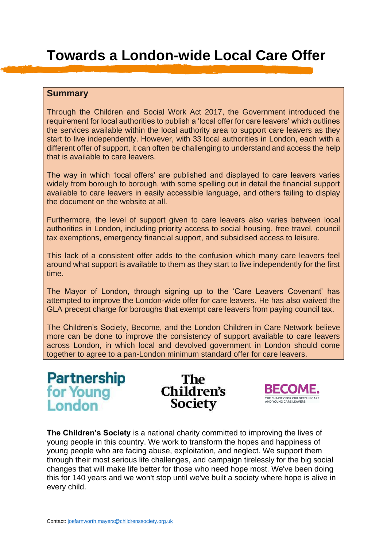# **Towards a London-wide Local Care Offer**

### **Summary**

Through the Children and Social Work Act 2017, the Government introduced the requirement for local authorities to publish a 'local offer for care leavers' which outlines the services available within the local authority area to support care leavers as they start to live independently. However, with 33 local authorities in London, each with a different offer of support, it can often be challenging to understand and access the help that is available to care leavers.

The way in which 'local offers' are published and displayed to care leavers varies widely from borough to borough, with some spelling out in detail the financial support available to care leavers in easily accessible language, and others failing to display the document on the website at all.

Furthermore, the level of support given to care leavers also varies between local authorities in London, including priority access to social housing, free travel, council tax exemptions, emergency financial support, and subsidised access to leisure.

This lack of a consistent offer adds to the confusion which many care leavers feel around what support is available to them as they start to live independently for the first time.

The Mayor of London, through signing up to the 'Care Leavers Covenant' has attempted to improve the London-wide offer for care leavers. He has also waived the GLA precept charge for boroughs that exempt care leavers from paying council tax.

The Children's Society, Become, and the London Children in Care Network believe more can be done to improve the consistency of support available to care leavers across London, in which local and devolved government in London should come together to agree to a pan-London minimum standard offer for care leavers.



The Children's **Society** 



**The Children's Society** is a national charity committed to improving the lives of young people in this country. We work to transform the hopes and happiness of young people who are facing abuse, exploitation, and neglect. We support them through their most serious life challenges, and campaign tirelessly for the big social changes that will make life better for those who need hope most. We've been doing this for 140 years and we won't stop until we've built a society where hope is alive in every child.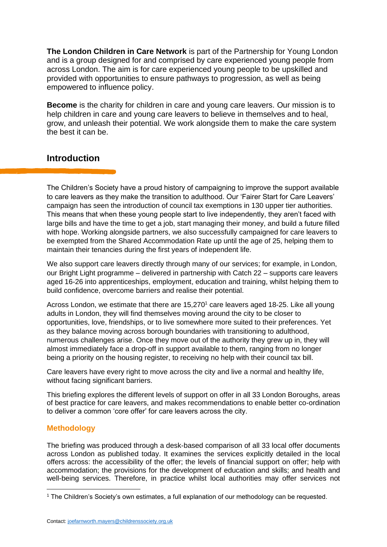**The London Children in Care Network** is part of the Partnership for Young London and is a group designed for and comprised by care experienced young people from across London. The aim is for care experienced young people to be upskilled and provided with opportunities to ensure pathways to progression, as well as being empowered to influence policy.

**Become** is the charity for children in care and young care leavers. Our mission is to help children in care and young care leavers to believe in themselves and to heal, grow, and unleash their potential. We work alongside them to make the care system the best it can be.

## **Introduction**

The Children's Society have a proud history of campaigning to improve the support available to care leavers as they make the transition to adulthood. Our 'Fairer Start for Care Leavers' campaign has seen the introduction of council tax exemptions in 130 upper tier authorities. This means that when these young people start to live independently, they aren't faced with large bills and have the time to get a job, start managing their money, and build a future filled with hope. Working alongside partners, we also successfully campaigned for care leavers to be exempted from the Shared Accommodation Rate up until the age of 25, helping them to maintain their tenancies during the first years of independent life.

We also support care leavers directly through many of our services; for example, in London, our Bright Light programme – delivered in partnership with Catch 22 – supports care leavers aged 16-26 into apprenticeships, employment, education and training, whilst helping them to build confidence, overcome barriers and realise their potential.

Across London, we estimate that there are 15,270<sup>1</sup> care leavers aged 18-25. Like all young adults in London, they will find themselves moving around the city to be closer to opportunities, love, friendships, or to live somewhere more suited to their preferences. Yet as they balance moving across borough boundaries with transitioning to adulthood, numerous challenges arise. Once they move out of the authority they grew up in, they will almost immediately face a drop-off in support available to them, ranging from no longer being a priority on the housing register, to receiving no help with their council tax bill.

Care leavers have every right to move across the city and live a normal and healthy life, without facing significant barriers.

This briefing explores the different levels of support on offer in all 33 London Boroughs, areas of best practice for care leavers, and makes recommendations to enable better co-ordination to deliver a common 'core offer' for care leavers across the city.

#### **Methodology**

The briefing was produced through a desk-based comparison of all 33 local offer documents across London as published today. It examines the services explicitly detailed in the local offers across: the accessibility of the offer; the levels of financial support on offer; help with accommodation; the provisions for the development of education and skills; and health and well-being services. Therefore, in practice whilst local authorities may offer services not

<sup>1</sup> The Children's Society's own estimates, a full explanation of our methodology can be requested.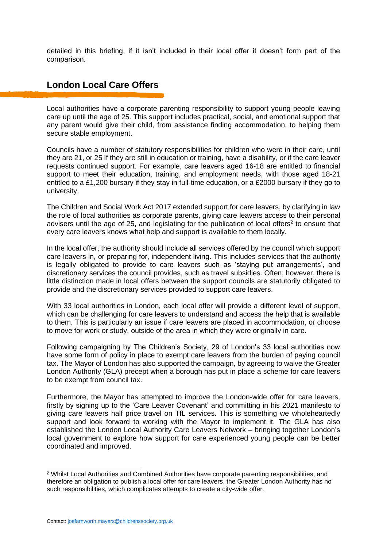detailed in this briefing, if it isn't included in their local offer it doesn't form part of the comparison.

## **London Local Care Offers**

Local authorities have a corporate parenting responsibility to support young people leaving care up until the age of 25. This support includes practical, social, and emotional support that any parent would give their child, from assistance finding accommodation, to helping them secure stable employment.

Councils have a number of statutory responsibilities for children who were in their care, until they are 21, or 25 If they are still in education or training, have a disability, or if the care leaver requests continued support. For example, care leavers aged 16-18 are entitled to financial support to meet their education, training, and employment needs, with those aged 18-21 entitled to a £1,200 bursary if they stay in full-time education, or a £2000 bursary if they go to university.

The Children and Social Work Act 2017 extended support for care leavers, by clarifying in law the role of local authorities as corporate parents, giving care leavers access to their personal advisers until the age of 25, and legislating for the publication of local offers<sup>2</sup> to ensure that every care leavers knows what help and support is available to them locally.

In the local offer, the authority should include all services offered by the council which support care leavers in, or preparing for, independent living. This includes services that the authority is legally obligated to provide to care leavers such as 'staying put arrangements', and discretionary services the council provides, such as travel subsidies. Often, however, there is little distinction made in local offers between the support councils are statutorily obligated to provide and the discretionary services provided to support care leavers.

With 33 local authorities in London, each local offer will provide a different level of support, which can be challenging for care leavers to understand and access the help that is available to them. This is particularly an issue if care leavers are placed in accommodation, or choose to move for work or study, outside of the area in which they were originally in care.

Following campaigning by The Children's Society, 29 of London's 33 local authorities now have some form of policy in place to exempt care leavers from the burden of paying council tax. The Mayor of London has also supported the campaign, by agreeing to waive the Greater London Authority (GLA) precept when a borough has put in place a scheme for care leavers to be exempt from council tax.

Furthermore, the Mayor has attempted to improve the London-wide offer for care leavers, firstly by signing up to the 'Care Leaver Covenant' and committing in his 2021 manifesto to giving care leavers half price travel on TfL services. This is something we wholeheartedly support and look forward to working with the Mayor to implement it. The GLA has also established the London Local Authority Care Leavers Network – bringing together London's local government to explore how support for care experienced young people can be better coordinated and improved.

<sup>2</sup> Whilst Local Authorities and Combined Authorities have corporate parenting responsibilities, and therefore an obligation to publish a local offer for care leavers, the Greater London Authority has no such responsibilities, which complicates attempts to create a city-wide offer.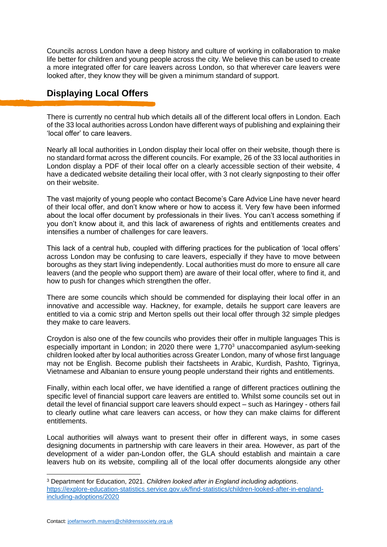Councils across London have a deep history and culture of working in collaboration to make life better for children and young people across the city. We believe this can be used to create a more integrated offer for care leavers across London, so that wherever care leavers were looked after, they know they will be given a minimum standard of support.

## **Displaying Local Offers**

There is currently no central hub which details all of the different local offers in London. Each of the 33 local authorities across London have different ways of publishing and explaining their 'local offer' to care leavers.

Nearly all local authorities in London display their local offer on their website, though there is no standard format across the different councils. For example, 26 of the 33 local authorities in London display a PDF of their local offer on a clearly accessible section of their website, 4 have a dedicated website detailing their local offer, with 3 not clearly signposting to their offer on their website.

The vast majority of young people who contact Become's Care Advice Line have never heard of their local offer, and don't know where or how to access it. Very few have been informed about the local offer document by professionals in their lives. You can't access something if you don't know about it, and this lack of awareness of rights and entitlements creates and intensifies a number of challenges for care leavers.

This lack of a central hub, coupled with differing practices for the publication of 'local offers' across London may be confusing to care leavers, especially if they have to move between boroughs as they start living independently. Local authorities must do more to ensure all care leavers (and the people who support them) are aware of their local offer, where to find it, and how to push for changes which strengthen the offer.

There are some councils which should be commended for displaying their local offer in an innovative and accessible way. Hackney, for example, details he support care leavers are entitled to via a comic strip and Merton spells out their local offer through 32 simple pledges they make to care leavers.

Croydon is also one of the few councils who provides their offer in multiple languages This is especially important in London; in 2020 there were 1,770<sup>3</sup> unaccompanied asylum-seeking children looked after by local authorities across Greater London, many of whose first language may not be English. Become publish their factsheets in Arabic, Kurdish, Pashto, Tigrinya, Vietnamese and Albanian to ensure young people understand their rights and entitlements.

Finally, within each local offer, we have identified a range of different practices outlining the specific level of financial support care leavers are entitled to. Whilst some councils set out in detail the level of financial support care leavers should expect – such as Haringey - others fail to clearly outline what care leavers can access, or how they can make claims for different entitlements.

Local authorities will always want to present their offer in different ways, in some cases designing documents in partnership with care leavers in their area. However, as part of the development of a wider pan-London offer, the GLA should establish and maintain a care leavers hub on its website, compiling all of the local offer documents alongside any other

<sup>3</sup> Department for Education, 2021. *Children looked after in England including adoptions*. [https://explore-education-statistics.service.gov.uk/find-statistics/children-looked-after-in-england](https://explore-education-statistics.service.gov.uk/find-statistics/children-looked-after-in-england-including-adoptions/2020)[including-adoptions/2020](https://explore-education-statistics.service.gov.uk/find-statistics/children-looked-after-in-england-including-adoptions/2020)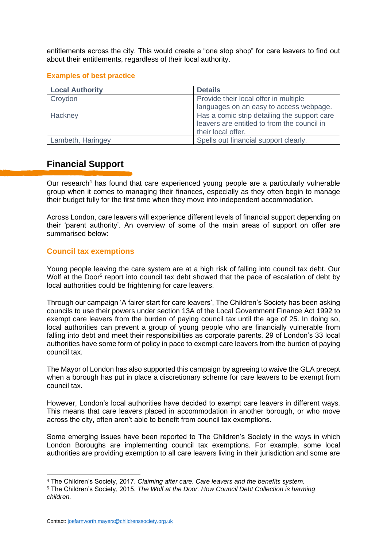entitlements across the city. This would create a "one stop shop" for care leavers to find out about their entitlements, regardless of their local authority.

#### **Examples of best practice**

| <b>Local Authority</b> | <b>Details</b>                               |
|------------------------|----------------------------------------------|
| Croydon                | Provide their local offer in multiple        |
|                        | languages on an easy to access webpage.      |
| Hackney                | Has a comic strip detailing the support care |
|                        | leavers are entitled to from the council in  |
|                        | their local offer.                           |
| Lambeth, Haringey      | Spells out financial support clearly.        |

## **Financial Support**

Our research<sup>4</sup> has found that care experienced young people are a particularly vulnerable group when it comes to managing their finances, especially as they often begin to manage their budget fully for the first time when they move into independent accommodation.

Across London, care leavers will experience different levels of financial support depending on their 'parent authority'. An overview of some of the main areas of support on offer are summarised below:

#### **Council tax exemptions**

Young people leaving the care system are at a high risk of falling into council tax debt. Our Wolf at the Door<sup>5</sup> report into council tax debt showed that the pace of escalation of debt by local authorities could be frightening for care leavers.

Through our campaign 'A fairer start for care leavers', The Children's Society has been asking councils to use their powers under section 13A of the Local Government Finance Act 1992 to exempt care leavers from the burden of paying council tax until the age of 25. In doing so, local authorities can prevent a group of young people who are financially vulnerable from falling into debt and meet their responsibilities as corporate parents. 29 of London's 33 local authorities have some form of policy in pace to exempt care leavers from the burden of paying council tax.

The Mayor of London has also supported this campaign by agreeing to waive the GLA precept when a borough has put in place a discretionary scheme for care leavers to be exempt from council tax.

However, London's local authorities have decided to exempt care leavers in different ways. This means that care leavers placed in accommodation in another borough, or who move across the city, often aren't able to benefit from council tax exemptions.

Some emerging issues have been reported to The Children's Society in the ways in which London Boroughs are implementing council tax exemptions. For example, some local authorities are providing exemption to all care leavers living in their jurisdiction and some are

<sup>4</sup> The Children's Society, 2017. *Claiming after care. Care leavers and the benefits system.*

<sup>5</sup> The Children's Society, 2015. *The Wolf at the Door. How Council Debt Collection is harming children.*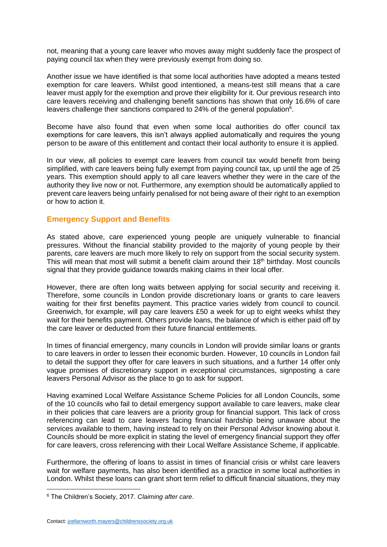not, meaning that a young care leaver who moves away might suddenly face the prospect of paying council tax when they were previously exempt from doing so.

Another issue we have identified is that some local authorities have adopted a means tested exemption for care leavers. Whilst good intentioned, a means-test still means that a care leaver must apply for the exemption and prove their eligibility for it. Our previous research into care leavers receiving and challenging benefit sanctions has shown that only 16.6% of care leavers challenge their sanctions compared to 24% of the general population<sup>6</sup>.

Become have also found that even when some local authorities do offer council tax exemptions for care leavers, this isn't always applied automatically and requires the young person to be aware of this entitlement and contact their local authority to ensure it is applied.

In our view, all policies to exempt care leavers from council tax would benefit from being simplified, with care leavers being fully exempt from paying council tax, up until the age of 25 years. This exemption should apply to all care leavers whether they were in the care of the authority they live now or not. Furthermore, any exemption should be automatically applied to prevent care leavers being unfairly penalised for not being aware of their right to an exemption or how to action it.

#### **Emergency Support and Benefits**

As stated above, care experienced young people are uniquely vulnerable to financial pressures. Without the financial stability provided to the majority of young people by their parents, care leavers are much more likely to rely on support from the social security system. This will mean that most will submit a benefit claim around their 18<sup>th</sup> birthday. Most councils signal that they provide guidance towards making claims in their local offer.

However, there are often long waits between applying for social security and receiving it. Therefore, some councils in London provide discretionary loans or grants to care leavers waiting for their first benefits payment. This practice varies widely from council to council. Greenwich, for example, will pay care leavers £50 a week for up to eight weeks whilst they wait for their benefits payment. Others provide loans, the balance of which is either paid off by the care leaver or deducted from their future financial entitlements.

In times of financial emergency, many councils in London will provide similar loans or grants to care leavers in order to lessen their economic burden. However, 10 councils in London fail to detail the support they offer for care leavers in such situations, and a further 14 offer only vague promises of discretionary support in exceptional circumstances, signposting a care leavers Personal Advisor as the place to go to ask for support.

Having examined Local Welfare Assistance Scheme Policies for all London Councils, some of the 10 councils who fail to detail emergency support available to care leavers, make clear in their policies that care leavers are a priority group for financial support. This lack of cross referencing can lead to care leavers facing financial hardship being unaware about the services available to them, having instead to rely on their Personal Advisor knowing about it. Councils should be more explicit in stating the level of emergency financial support they offer for care leavers, cross referencing with their Local Welfare Assistance Scheme, if applicable.

Furthermore, the offering of loans to assist in times of financial crisis or whilst care leavers wait for welfare payments, has also been identified as a practice in some local authorities in London. Whilst these loans can grant short term relief to difficult financial situations, they may

<sup>6</sup> The Children's Society, 2017. *Claiming after care*.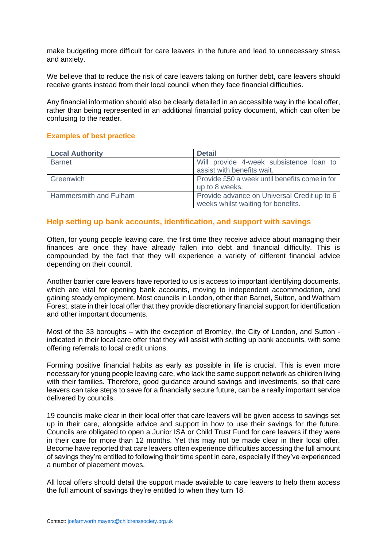make budgeting more difficult for care leavers in the future and lead to unnecessary stress and anxiety.

We believe that to reduce the risk of care leavers taking on further debt, care leavers should receive grants instead from their local council when they face financial difficulties.

Any financial information should also be clearly detailed in an accessible way in the local offer, rather than being represented in an additional financial policy document, which can often be confusing to the reader.

#### **Examples of best practice**

| <b>Local Authority</b> | <b>Detail</b>                                 |
|------------------------|-----------------------------------------------|
| <b>Barnet</b>          | Will provide 4-week subsistence loan to       |
|                        | assist with benefits wait.                    |
| Greenwich              | Provide £50 a week until benefits come in for |
|                        | up to 8 weeks.                                |
| Hammersmith and Fulham | Provide advance on Universal Credit up to 6   |
|                        | weeks whilst waiting for benefits.            |

#### **Help setting up bank accounts, identification, and support with savings**

Often, for young people leaving care, the first time they receive advice about managing their finances are once they have already fallen into debt and financial difficulty. This is compounded by the fact that they will experience a variety of different financial advice depending on their council.

Another barrier care leavers have reported to us is access to important identifying documents, which are vital for opening bank accounts, moving to independent accommodation, and gaining steady employment. Most councils in London, other than Barnet, Sutton, and Waltham Forest, state in their local offer that they provide discretionary financial support for identification and other important documents.

Most of the 33 boroughs – with the exception of Bromley, the City of London, and Sutton indicated in their local care offer that they will assist with setting up bank accounts, with some offering referrals to local credit unions.

Forming positive financial habits as early as possible in life is crucial. This is even more necessary for young people leaving care, who lack the same support network as children living with their families. Therefore, good guidance around savings and investments, so that care leavers can take steps to save for a financially secure future, can be a really important service delivered by councils.

19 councils make clear in their local offer that care leavers will be given access to savings set up in their care, alongside advice and support in how to use their savings for the future. Councils are obligated to open a Junior ISA or Child Trust Fund for care leavers if they were in their care for more than 12 months. Yet this may not be made clear in their local offer. Become have reported that care leavers often experience difficulties accessing the full amount of savings they're entitled to following their time spent in care, especially if they've experienced a number of placement moves.

All local offers should detail the support made available to care leavers to help them access the full amount of savings they're entitled to when they turn 18.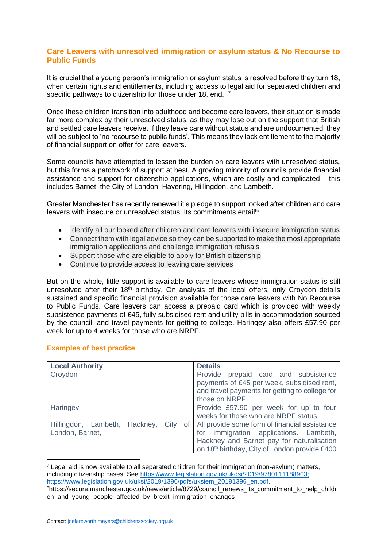#### **Care Leavers with unresolved immigration or asylum status & No Recourse to Public Funds**

It is crucial that a young person's immigration or asylum status is resolved before they turn 18, when certain rights and entitlements, including access to legal aid for separated children and specific pathways to citizenship for those under 18, end. <sup>7</sup>

Once these children transition into adulthood and become care leavers, their situation is made far more complex by their unresolved status, as they may lose out on the support that British and settled care leavers receive. If they leave care without status and are undocumented, they will be subject to 'no recourse to public funds'. This means they lack entitlement to the majority of financial support on offer for care leavers.

Some councils have attempted to lessen the burden on care leavers with unresolved status, but this forms a patchwork of support at best. A growing minority of councils provide financial assistance and support for citizenship applications, which are costly and complicated – this includes Barnet, the City of London, Havering, Hillingdon, and Lambeth.

Greater Manchester has recently renewed it's pledge to support looked after children and care leavers with insecure or unresolved status. Its commitments entail<sup>8</sup>:

- Identify all our looked after children and care leavers with insecure immigration status
- Connect them with legal advice so they can be supported to make the most appropriate immigration applications and challenge immigration refusals
- Support those who are eligible to apply for British citizenship
- Continue to provide access to leaving care services

But on the whole, little support is available to care leavers whose immigration status is still unresolved after their 18<sup>th</sup> birthday. On analysis of the local offers, only Croydon details sustained and specific financial provision available for those care leavers with No Recourse to Public Funds. Care leavers can access a prepaid card which is provided with weekly subsistence payments of £45, fully subsidised rent and utility bills in accommodation sourced by the council, and travel payments for getting to college. Haringey also offers £57.90 per week for up to 4 weeks for those who are NRPF.

| <b>Local Authority</b>                           | <b>Details</b>                                                                                                                                                                                  |
|--------------------------------------------------|-------------------------------------------------------------------------------------------------------------------------------------------------------------------------------------------------|
| Croydon                                          | Provide prepaid card and subsistence<br>payments of £45 per week, subsidised rent,<br>and travel payments for getting to college for<br>those on NRPF.                                          |
| <b>Haringey</b>                                  | Provide £57.90 per week for up to four<br>weeks for those who are NRPF status.                                                                                                                  |
| Hillingdon, Lambeth, Hackney,<br>London, Barnet, | City of   All provide some form of financial assistance<br>for immigration applications. Lambeth,<br>Hackney and Barnet pay for naturalisation<br>on 18th birthday, City of London provide £400 |

#### **Examples of best practice**

 $<sup>7</sup>$  Legal aid is now available to all separated children for their immigration (non-asylum) matters,</sup> including citizenship cases. See [https://www.legislation.gov.uk/ukdsi/2019/9780111188903;](https://www.legislation.gov.uk/ukdsi/2019/9780111188903) [https://www.legislation.gov.uk/uksi/2019/1396/pdfs/uksiem\\_20191396\\_en.pdf.](https://www.legislation.gov.uk/uksi/2019/1396/pdfs/uksiem_20191396_en.pdf)

<sup>&</sup>lt;sup>8</sup>https://secure.manchester.gov.uk/news/article/8729/council\_renews\_its\_commitment\_to\_help\_childr en\_and\_young\_people\_affected\_by\_brexit\_immigration\_changes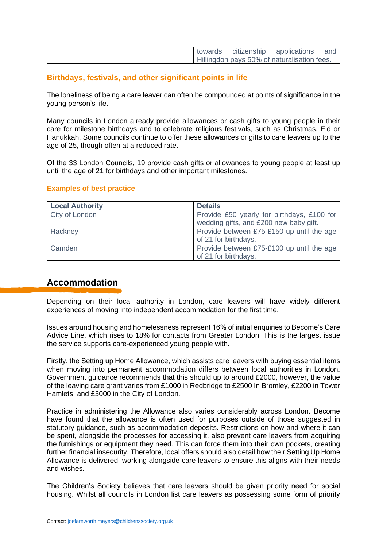| towards | citizenship applications                    | and |
|---------|---------------------------------------------|-----|
|         | Hillingdon pays 50% of naturalisation fees. |     |

#### **Birthdays, festivals, and other significant points in life**

The loneliness of being a care leaver can often be compounded at points of significance in the young person's life.

Many councils in London already provide allowances or cash gifts to young people in their care for milestone birthdays and to celebrate religious festivals, such as Christmas, Eid or Hanukkah. Some councils continue to offer these allowances or gifts to care leavers up to the age of 25, though often at a reduced rate.

Of the 33 London Councils, 19 provide cash gifts or allowances to young people at least up until the age of 21 for birthdays and other important milestones.

| <b>Local Authority</b> | <b>Details</b>                             |
|------------------------|--------------------------------------------|
| City of London         | Provide £50 yearly for birthdays, £100 for |
|                        | wedding gifts, and £200 new baby gift.     |
| Hackney                | Provide between £75-£150 up until the age  |
|                        | of 21 for birthdays.                       |
| Camden                 | Provide between £75-£100 up until the age  |
|                        | of 21 for birthdays.                       |

## **Accommodation**

Depending on their local authority in London, care leavers will have widely different experiences of moving into independent accommodation for the first time.

Issues around housing and homelessness represent 16% of initial enquiries to Become's Care Advice Line, which rises to 18% for contacts from Greater London. This is the largest issue the service supports care-experienced young people with.

Firstly, the Setting up Home Allowance, which assists care leavers with buying essential items when moving into permanent accommodation differs between local authorities in London. Government guidance recommends that this should up to around £2000, however, the value of the leaving care grant varies from £1000 in Redbridge to £2500 In Bromley, £2200 in Tower Hamlets, and £3000 in the City of London.

Practice in administering the Allowance also varies considerably across London. Become have found that the allowance is often used for purposes outside of those suggested in statutory guidance, such as accommodation deposits. Restrictions on how and where it can be spent, alongside the processes for accessing it, also prevent care leavers from acquiring the furnishings or equipment they need. This can force them into their own pockets, creating further financial insecurity. Therefore, local offers should also detail how their Setting Up Home Allowance is delivered, working alongside care leavers to ensure this aligns with their needs and wishes.

The Children's Society believes that care leavers should be given priority need for social housing. Whilst all councils in London list care leavers as possessing some form of priority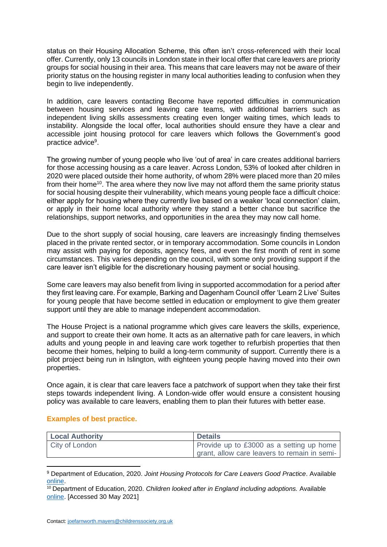status on their Housing Allocation Scheme, this often isn't cross-referenced with their local offer. Currently, only 13 councils in London state in their local offer that care leavers are priority groups for social housing in their area. This means that care leavers may not be aware of their priority status on the housing register in many local authorities leading to confusion when they begin to live independently.

In addition, care leavers contacting Become have reported difficulties in communication between housing services and leaving care teams, with additional barriers such as independent living skills assessments creating even longer waiting times, which leads to instability. Alongside the local offer, local authorities should ensure they have a clear and accessible joint housing protocol for care leavers which follows the Government's good practice advice<sup>9</sup>.

The growing number of young people who live 'out of area' in care creates additional barriers for those accessing housing as a care leaver. Across London, 53% of looked after children in 2020 were placed outside their home authority, of whom 28% were placed more than 20 miles from their home<sup>10</sup>. The area where they now live may not afford them the same priority status for social housing despite their vulnerability, which means young people face a difficult choice: either apply for housing where they currently live based on a weaker 'local connection' claim, or apply in their home local authority where they stand a better chance but sacrifice the relationships, support networks, and opportunities in the area they may now call home.

Due to the short supply of social housing, care leavers are increasingly finding themselves placed in the private rented sector, or in temporary accommodation. Some councils in London may assist with paying for deposits, agency fees, and even the first month of rent in some circumstances. This varies depending on the council, with some only providing support if the care leaver isn't eligible for the discretionary housing payment or social housing.

Some care leavers may also benefit from living in supported accommodation for a period after they first leaving care. For example, Barking and Dagenham Council offer 'Learn 2 Live' Suites for young people that have become settled in education or employment to give them greater support until they are able to manage independent accommodation.

The House Project is a national programme which gives care leavers the skills, experience, and support to create their own home. It acts as an alternative path for care leavers, in which adults and young people in and leaving care work together to refurbish properties that then become their homes, helping to build a long-term community of support. Currently there is a pilot project being run in Islington, with eighteen young people having moved into their own properties.

Once again, it is clear that care leavers face a patchwork of support when they take their first steps towards independent living. A London-wide offer would ensure a consistent housing policy was available to care leavers, enabling them to plan their futures with better ease.

#### **Examples of best practice.**

| <b>Local Authority</b> | <b>Details</b>                               |
|------------------------|----------------------------------------------|
| City of London         | Provide up to £3000 as a setting up home     |
|                        | grant, allow care leavers to remain in semi- |

<sup>9</sup> Department of Education, 2020. *Joint Housing Protocols for Care Leavers Good Practice*. Available [online.](https://www.gov.uk/government/publications/joint-housing-protocols-for-care-leavers/joint-housing-protocols-for-care-leavers-good-practice-advice.)

<sup>10</sup> Department of Education, 2020. *Children looked after in England including adoptions.* Available [online.](https://explore-education-statistics.service.gov.uk/find-statistics/children-looked-after-in-england-including-adoptions/2020) [Accessed 30 May 2021]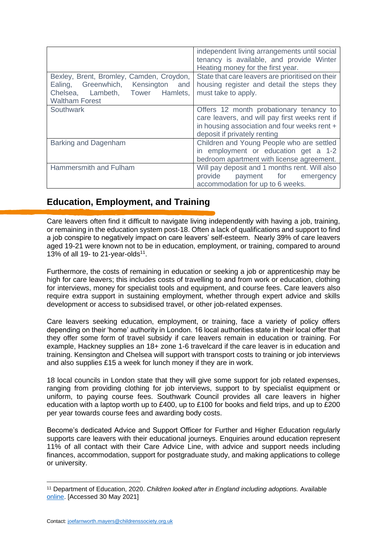|                                                                                                                                             | independent living arrangements until social<br>tenancy is available, and provide Winter<br>Heating money for the first year.                                             |
|---------------------------------------------------------------------------------------------------------------------------------------------|---------------------------------------------------------------------------------------------------------------------------------------------------------------------------|
| Bexley, Brent, Bromley, Camden, Croydon,<br>Ealing, Greenwhich, Kensington and<br>Chelsea, Lambeth, Tower Hamlets,<br><b>Waltham Forest</b> | State that care leavers are prioritised on their<br>housing register and detail the steps they<br>must take to apply.                                                     |
| Southwark                                                                                                                                   | Offers 12 month probationary tenancy to<br>care leavers, and will pay first weeks rent if<br>in housing association and four weeks rent +<br>deposit if privately renting |
| <b>Barking and Dagenham</b>                                                                                                                 | Children and Young People who are settled<br>in employment or education get a 1-2<br>bedroom apartment with license agreement.                                            |
| Hammersmith and Fulham                                                                                                                      | Will pay deposit and 1 months rent. Will also<br>provide payment for emergency<br>accommodation for up to 6 weeks.                                                        |

# **Education, Employment, and Training**

Care leavers often find it difficult to navigate living independently with having a job, training, or remaining in the education system post-18. Often a lack of qualifications and support to find a job conspire to negatively impact on care leavers' self-esteem. Nearly 39% of care leavers aged 19-21 were known not to be in education, employment, or training, compared to around 13% of all 19- to 21-year-olds<sup>11</sup>.

Furthermore, the costs of remaining in education or seeking a job or apprenticeship may be high for care leavers; this includes costs of travelling to and from work or education, clothing for interviews, money for specialist tools and equipment, and course fees. Care leavers also require extra support in sustaining employment, whether through expert advice and skills development or access to subsidised travel, or other job-related expenses.

Care leavers seeking education, employment, or training, face a variety of policy offers depending on their 'home' authority in London. 16 local authorities state in their local offer that they offer some form of travel subsidy if care leavers remain in education or training. For example, Hackney supplies an 18+ zone 1-6 travelcard if the care leaver is in education and training. Kensington and Chelsea will support with transport costs to training or job interviews and also supplies £15 a week for lunch money if they are in work.

18 local councils in London state that they will give some support for job related expenses, ranging from providing clothing for job interviews, support to by specialist equipment or uniform, to paying course fees. Southwark Council provides all care leavers in higher education with a laptop worth up to £400, up to £100 for books and field trips, and up to £200 per year towards course fees and awarding body costs.

Become's dedicated Advice and Support Officer for Further and Higher Education regularly supports care leavers with their educational journeys. Enquiries around education represent 11% of all contact with their Care Advice Line, with advice and support needs including finances, accommodation, support for postgraduate study, and making applications to college or university.

<sup>11</sup> Department of Education, 2020. *Children looked after in England including adoptions.* Available [online.](https://explore-education-statistics.service.gov.uk/find-statistics/children-looked-after-in-england-including-adoptions/2020) [Accessed 30 May 2021]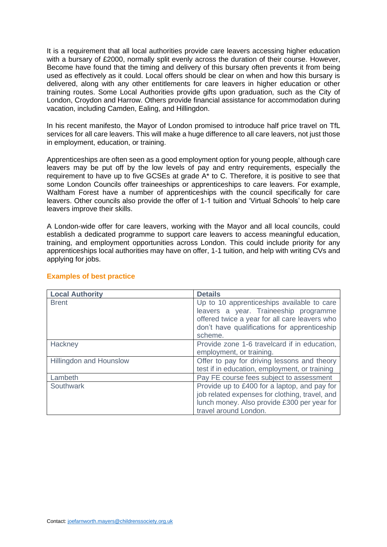It is a requirement that all local authorities provide care leavers accessing higher education with a bursary of £2000, normally split evenly across the duration of their course. However, Become have found that the timing and delivery of this bursary often prevents it from being used as effectively as it could. Local offers should be clear on when and how this bursary is delivered, along with any other entitlements for care leavers in higher education or other training routes. Some Local Authorities provide gifts upon graduation, such as the City of London, Croydon and Harrow. Others provide financial assistance for accommodation during vacation, including Camden, Ealing, and Hillingdon.

In his recent manifesto, the Mayor of London promised to introduce half price travel on TfL services for all care leavers. This will make a huge difference to all care leavers, not just those in employment, education, or training.

Apprenticeships are often seen as a good employment option for young people, although care leavers may be put off by the low levels of pay and entry requirements, especially the requirement to have up to five GCSEs at grade A\* to C. Therefore, it is positive to see that some London Councils offer traineeships or apprenticeships to care leavers. For example, Waltham Forest have a number of apprenticeships with the council specifically for care leavers. Other councils also provide the offer of 1-1 tuition and 'Virtual Schools' to help care leavers improve their skills.

A London-wide offer for care leavers, working with the Mayor and all local councils, could establish a dedicated programme to support care leavers to access meaningful education, training, and employment opportunities across London. This could include priority for any apprenticeships local authorities may have on offer, 1-1 tuition, and help with writing CVs and applying for jobs.

| <b>Local Authority</b>         | <b>Details</b>                                                                                                                                                                                  |
|--------------------------------|-------------------------------------------------------------------------------------------------------------------------------------------------------------------------------------------------|
| <b>Brent</b>                   | Up to 10 apprenticeships available to care<br>leavers a year. Traineeship programme<br>offered twice a year for all care leavers who<br>don't have qualifications for apprenticeship<br>scheme. |
| Hackney                        | Provide zone 1-6 travelcard if in education,<br>employment, or training.                                                                                                                        |
| <b>Hillingdon and Hounslow</b> | Offer to pay for driving lessons and theory<br>test if in education, employment, or training                                                                                                    |
| Lambeth                        | Pay FE course fees subject to assessment                                                                                                                                                        |
| Southwark                      | Provide up to £400 for a laptop, and pay for<br>job related expenses for clothing, travel, and<br>lunch money. Also provide £300 per year for<br>travel around London.                          |

#### **Examples of best practice**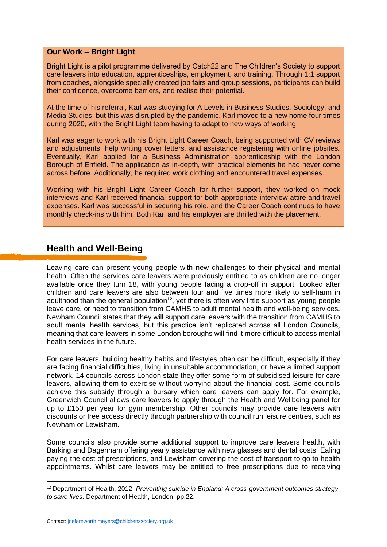#### **Our Work – Bright Light**

Bright Light is a pilot programme delivered by Catch22 and The Children's Society to support care leavers into education, apprenticeships, employment, and training. Through 1:1 support from coaches, alongside specially created job fairs and group sessions, participants can build their confidence, overcome barriers, and realise their potential.

At the time of his referral, Karl was studying for A Levels in Business Studies, Sociology, and Media Studies, but this was disrupted by the pandemic. Karl moved to a new home four times during 2020, with the Bright Light team having to adapt to new ways of working.

Karl was eager to work with his Bright Light Career Coach, being supported with CV reviews and adjustments, help writing cover letters, and assistance registering with online jobsites. Eventually, Karl applied for a Business Administration apprenticeship with the London Borough of Enfield. The application as in-depth, with practical elements he had never come across before. Additionally, he required work clothing and encountered travel expenses.

Working with his Bright Light Career Coach for further support, they worked on mock interviews and Karl received financial support for both appropriate interview attire and travel expenses. Karl was successful in securing his role, and the Career Coach continues to have monthly check-ins with him. Both Karl and his employer are thrilled with the placement.

## **Health and Well-Being**

Leaving care can present young people with new challenges to their physical and mental health. Often the services care leavers were previously entitled to as children are no longer available once they turn 18, with young people facing a drop-off in support. Looked after children and care leavers are also between four and five times more likely to self-harm in adulthood than the general population<sup>12</sup>, yet there is often very little support as young people leave care, or need to transition from CAMHS to adult mental health and well-being services. Newham Council states that they will support care leavers with the transition from CAMHS to adult mental health services, but this practice isn't replicated across all London Councils, meaning that care leavers in some London boroughs will find it more difficult to access mental health services in the future.

For care leavers, building healthy habits and lifestyles often can be difficult, especially if they are facing financial difficulties, living in unsuitable accommodation, or have a limited support network. 14 councils across London state they offer some form of subsidised leisure for care leavers, allowing them to exercise without worrying about the financial cost. Some councils achieve this subsidy through a bursary which care leavers can apply for. For example, Greenwich Council allows care leavers to apply through the Health and Wellbeing panel for up to £150 per year for gym membership. Other councils may provide care leavers with discounts or free access directly through partnership with council run leisure centres, such as Newham or Lewisham.

Some councils also provide some additional support to improve care leavers health, with Barking and Dagenham offering yearly assistance with new glasses and dental costs, Ealing paying the cost of prescriptions, and Lewisham covering the cost of transport to go to health appointments. Whilst care leavers may be entitled to free prescriptions due to receiving

<sup>12</sup> Department of Health, 2012. *Preventing suicide in England: A cross-government outcomes strategy to save lives*. Department of Health, London, pp.22.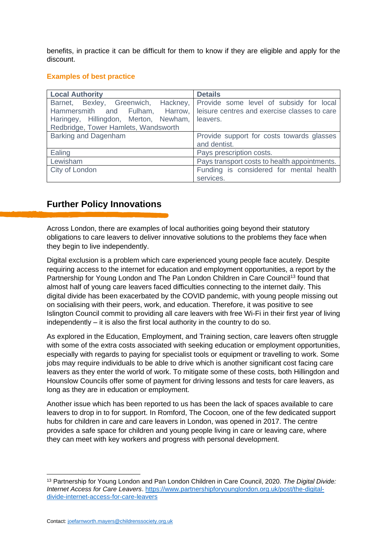benefits, in practice it can be difficult for them to know if they are eligible and apply for the discount.

#### **Examples of best practice**

| <b>Local Authority</b>                                                                 | <b>Details</b>                                                                                                                                              |
|----------------------------------------------------------------------------------------|-------------------------------------------------------------------------------------------------------------------------------------------------------------|
| Haringey, Hillingdon, Merton, Newham, leavers.<br>Redbridge, Tower Hamlets, Wandsworth | Barnet, Bexley, Greenwich, Hackney, Provide some level of subsidy for local<br>Hammersmith and Fulham, Harrow, leisure centres and exercise classes to care |
| <b>Barking and Dagenham</b>                                                            | Provide support for costs towards glasses<br>and dentist.                                                                                                   |
| Ealing                                                                                 | Pays prescription costs.                                                                                                                                    |
| Lewisham                                                                               | Pays transport costs to health appointments.                                                                                                                |
| City of London                                                                         | Funding is considered for mental health<br>services.                                                                                                        |

## **Further Policy Innovations**

Across London, there are examples of local authorities going beyond their statutory obligations to care leavers to deliver innovative solutions to the problems they face when they begin to live independently.

Digital exclusion is a problem which care experienced young people face acutely. Despite requiring access to the internet for education and employment opportunities, a report by the Partnership for Young London and The Pan London Children in Care Council<sup>13</sup> found that almost half of young care leavers faced difficulties connecting to the internet daily. This digital divide has been exacerbated by the COVID pandemic, with young people missing out on socialising with their peers, work, and education. Therefore, it was positive to see Islington Council commit to providing all care leavers with free Wi-Fi in their first year of living independently – it is also the first local authority in the country to do so.

As explored in the Education, Employment, and Training section, care leavers often struggle with some of the extra costs associated with seeking education or employment opportunities, especially with regards to paying for specialist tools or equipment or travelling to work. Some jobs may require individuals to be able to drive which is another significant cost facing care leavers as they enter the world of work. To mitigate some of these costs, both Hillingdon and Hounslow Councils offer some of payment for driving lessons and tests for care leavers, as long as they are in education or employment.

Another issue which has been reported to us has been the lack of spaces available to care leavers to drop in to for support. In Romford, The Cocoon, one of the few dedicated support hubs for children in care and care leavers in London, was opened in 2017. The centre provides a safe space for children and young people living in care or leaving care, where they can meet with key workers and progress with personal development.

<sup>13</sup> Partnership for Young London and Pan London Children in Care Council, 2020. *The Digital Divide: Internet Access for Care Leavers*. [https://www.partnershipforyounglondon.org.uk/post/the-digital](https://www.partnershipforyounglondon.org.uk/post/the-digital-divide-internet-access-for-care-leavers)[divide-internet-access-for-care-leavers](https://www.partnershipforyounglondon.org.uk/post/the-digital-divide-internet-access-for-care-leavers)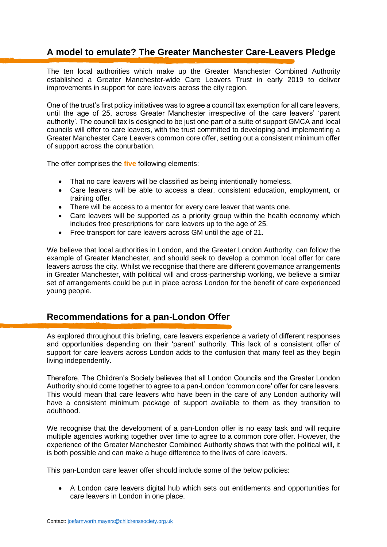## **A model to emulate? The Greater Manchester Care-Leavers Pledge**

The ten local authorities which make up the Greater Manchester Combined Authority established a Greater Manchester-wide Care Leavers Trust in early 2019 to deliver improvements in support for care leavers across the city region.

One of the trust's first policy initiatives was to agree a council tax exemption for all care leavers, until the age of 25, across Greater Manchester irrespective of the care leavers' 'parent authority'. The council tax is designed to be just one part of a suite of support GMCA and local councils will offer to care leavers, with the trust committed to developing and implementing a Greater Manchester Care Leavers common core offer, setting out a consistent minimum offer of support across the conurbation.

The offer comprises the **five** following elements:

- That no care leavers will be classified as being intentionally homeless.
- Care leavers will be able to access a clear, consistent education, employment, or training offer.
- There will be access to a mentor for every care leaver that wants one.
- Care leavers will be supported as a priority group within the health economy which includes free prescriptions for care leavers up to the age of 25.
- Free transport for care leavers across GM until the age of 21.

We believe that local authorities in London, and the Greater London Authority, can follow the example of Greater Manchester, and should seek to develop a common local offer for care leavers across the city. Whilst we recognise that there are different governance arrangements in Greater Manchester, with political will and cross-partnership working, we believe a similar set of arrangements could be put in place across London for the benefit of care experienced young people.

## **Recommendations for a pan-London Offer**

As explored throughout this briefing, care leavers experience a variety of different responses and opportunities depending on their 'parent' authority. This lack of a consistent offer of support for care leavers across London adds to the confusion that many feel as they begin living independently.

Therefore, The Children's Society believes that all London Councils and the Greater London Authority should come together to agree to a pan-London 'common core' offer for care leavers. This would mean that care leavers who have been in the care of any London authority will have a consistent minimum package of support available to them as they transition to adulthood.

We recognise that the development of a pan-London offer is no easy task and will require multiple agencies working together over time to agree to a common core offer. However, the experience of the Greater Manchester Combined Authority shows that with the political will, it is both possible and can make a huge difference to the lives of care leavers.

This pan-London care leaver offer should include some of the below policies:

• A London care leavers digital hub which sets out entitlements and opportunities for care leavers in London in one place.